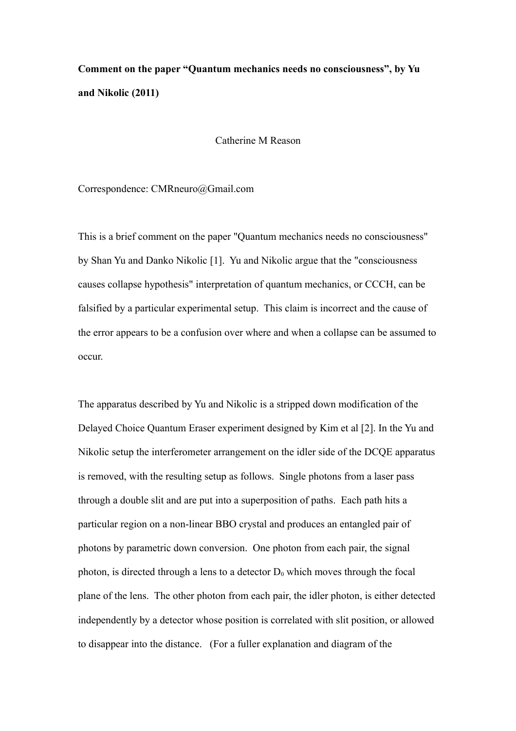## **Comment on the paper "Quantum mechanics needs no consciousness", by Yu and Nikolic (2011)**

## Catherine M Reason

Correspondence: CMRneuro@Gmail.com

This is a brief comment on the paper "Quantum mechanics needs no consciousness" by Shan Yu and Danko Nikolic [1]. Yu and Nikolic argue that the "consciousness causes collapse hypothesis" interpretation of quantum mechanics, or CCCH, can be falsified by a particular experimental setup. This claim is incorrect and the cause of the error appears to be a confusion over where and when a collapse can be assumed to occur.

The apparatus described by Yu and Nikolic is a stripped down modification of the Delayed Choice Quantum Eraser experiment designed by Kim et al [2]. In the Yu and Nikolic setup the interferometer arrangement on the idler side of the DCQE apparatus is removed, with the resulting setup as follows. Single photons from a laser pass through a double slit and are put into a superposition of paths. Each path hits a particular region on a non-linear BBO crystal and produces an entangled pair of photons by parametric down conversion. One photon from each pair, the signal photon, is directed through a lens to a detector  $D_0$  which moves through the focal plane of the lens. The other photon from each pair, the idler photon, is either detected independently by a detector whose position is correlated with slit position, or allowed to disappear into the distance. (For a fuller explanation and diagram of the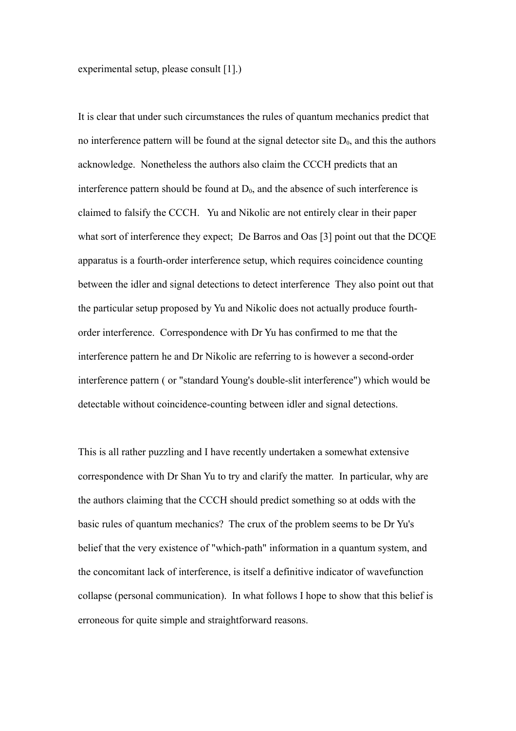experimental setup, please consult [1].)

It is clear that under such circumstances the rules of quantum mechanics predict that no interference pattern will be found at the signal detector site  $D_0$ , and this the authors acknowledge. Nonetheless the authors also claim the CCCH predicts that an interference pattern should be found at  $D_0$ , and the absence of such interference is claimed to falsify the CCCH. Yu and Nikolic are not entirely clear in their paper what sort of interference they expect; De Barros and Oas [3] point out that the DCQE apparatus is a fourth-order interference setup, which requires coincidence counting between the idler and signal detections to detect interference They also point out that the particular setup proposed by Yu and Nikolic does not actually produce fourthorder interference. Correspondence with Dr Yu has confirmed to me that the interference pattern he and Dr Nikolic are referring to is however a second-order interference pattern ( or "standard Young's double-slit interference") which would be detectable without coincidence-counting between idler and signal detections.

This is all rather puzzling and I have recently undertaken a somewhat extensive correspondence with Dr Shan Yu to try and clarify the matter. In particular, why are the authors claiming that the CCCH should predict something so at odds with the basic rules of quantum mechanics? The crux of the problem seems to be Dr Yu's belief that the very existence of "which-path" information in a quantum system, and the concomitant lack of interference, is itself a definitive indicator of wavefunction collapse (personal communication). In what follows I hope to show that this belief is erroneous for quite simple and straightforward reasons.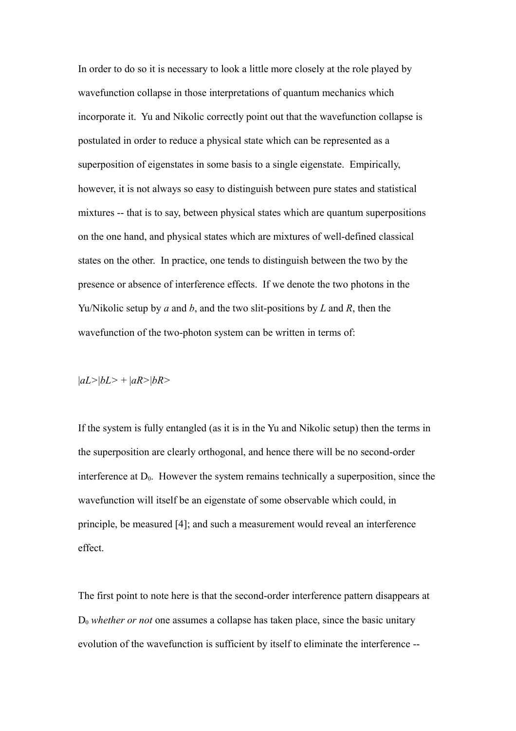In order to do so it is necessary to look a little more closely at the role played by wavefunction collapse in those interpretations of quantum mechanics which incorporate it. Yu and Nikolic correctly point out that the wavefunction collapse is postulated in order to reduce a physical state which can be represented as a superposition of eigenstates in some basis to a single eigenstate. Empirically, however, it is not always so easy to distinguish between pure states and statistical mixtures -- that is to say, between physical states which are quantum superpositions on the one hand, and physical states which are mixtures of well-defined classical states on the other. In practice, one tends to distinguish between the two by the presence or absence of interference effects. If we denote the two photons in the Yu/Nikolic setup by *a* and *b*, and the two slit-positions by *L* and *R*, then the wavefunction of the two-photon system can be written in terms of:

|*aL>*|*bL>* + |*aR>*|*bR>*

If the system is fully entangled (as it is in the Yu and Nikolic setup) then the terms in the superposition are clearly orthogonal, and hence there will be no second-order interference at  $D_0$ . However the system remains technically a superposition, since the wavefunction will itself be an eigenstate of some observable which could, in principle, be measured [4]; and such a measurement would reveal an interference effect.

The first point to note here is that the second-order interference pattern disappears at D<sup>0</sup> *whether or not* one assumes a collapse has taken place, since the basic unitary evolution of the wavefunction is sufficient by itself to eliminate the interference --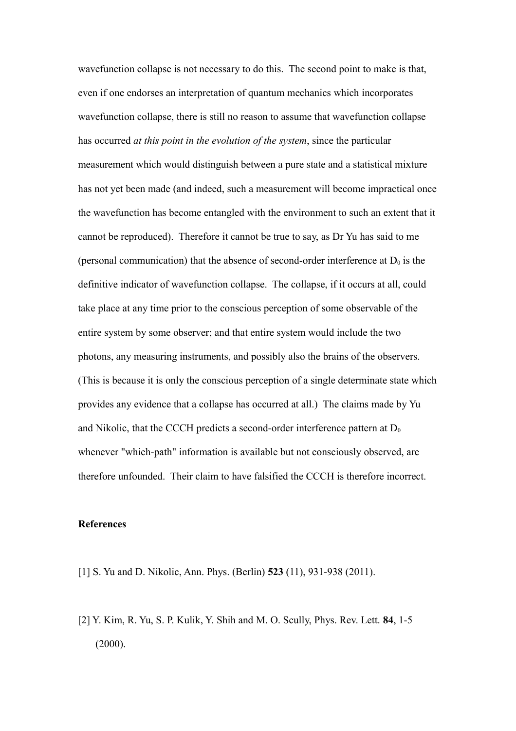wavefunction collapse is not necessary to do this. The second point to make is that, even if one endorses an interpretation of quantum mechanics which incorporates wavefunction collapse, there is still no reason to assume that wavefunction collapse has occurred *at this point in the evolution of the system*, since the particular measurement which would distinguish between a pure state and a statistical mixture has not yet been made (and indeed, such a measurement will become impractical once the wavefunction has become entangled with the environment to such an extent that it cannot be reproduced). Therefore it cannot be true to say, as Dr Yu has said to me (personal communication) that the absence of second-order interference at  $D_0$  is the definitive indicator of wavefunction collapse. The collapse, if it occurs at all, could take place at any time prior to the conscious perception of some observable of the entire system by some observer; and that entire system would include the two photons, any measuring instruments, and possibly also the brains of the observers. (This is because it is only the conscious perception of a single determinate state which provides any evidence that a collapse has occurred at all.) The claims made by Yu and Nikolic, that the CCCH predicts a second-order interference pattern at  $D_0$ whenever "which-path" information is available but not consciously observed, are therefore unfounded. Their claim to have falsified the CCCH is therefore incorrect.

## **References**

- [1] S. Yu and D. Nikolic, Ann. Phys. (Berlin) **523** (11), 931-938 (2011).
- [2] Y. Kim, R. Yu, S. P. Kulik, Y. Shih and M. O. Scully, Phys. Rev. Lett. **84**, 1-5 (2000).